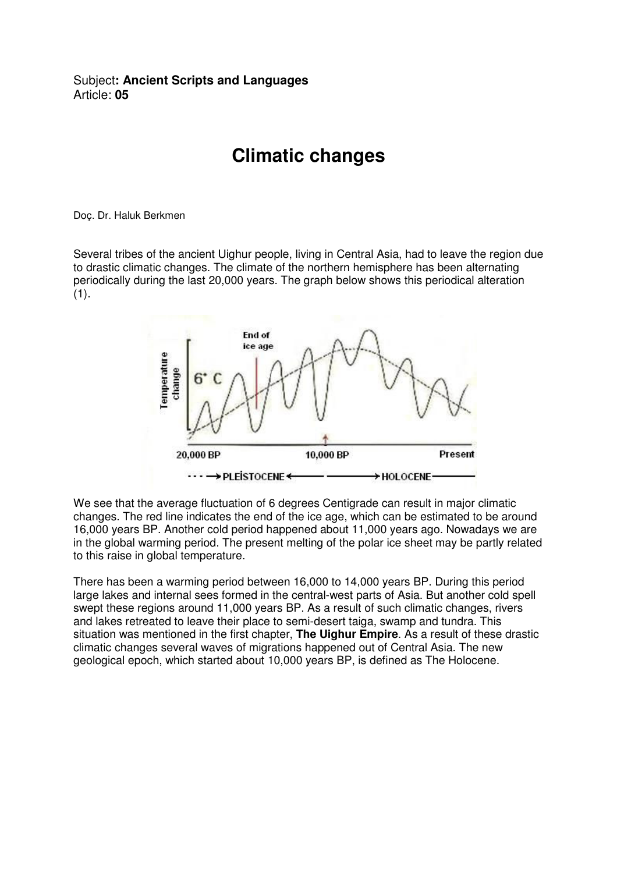## Subject**: Ancient Scripts and Languages**  Article: **05**

## **Climatic changes**

Doç. Dr. Haluk Berkmen

Several tribes of the ancient Uighur people, living in Central Asia, had to leave the region due to drastic climatic changes. The climate of the northern hemisphere has been alternating periodically during the last 20,000 years. The graph below shows this periodical alteration  $(1).$ 



We see that the average fluctuation of 6 degrees Centigrade can result in major climatic changes. The red line indicates the end of the ice age, which can be estimated to be around 16,000 years BP. Another cold period happened about 11,000 years ago. Nowadays we are in the global warming period. The present melting of the polar ice sheet may be partly related to this raise in global temperature.

There has been a warming period between 16,000 to 14,000 years BP. During this period large lakes and internal sees formed in the central-west parts of Asia. But another cold spell swept these regions around 11,000 years BP. As a result of such climatic changes, rivers and lakes retreated to leave their place to semi-desert taiga, swamp and tundra. This situation was mentioned in the first chapter, **The Uighur Empire**. As a result of these drastic climatic changes several waves of migrations happened out of Central Asia. The new geological epoch, which started about 10,000 years BP, is defined as The Holocene.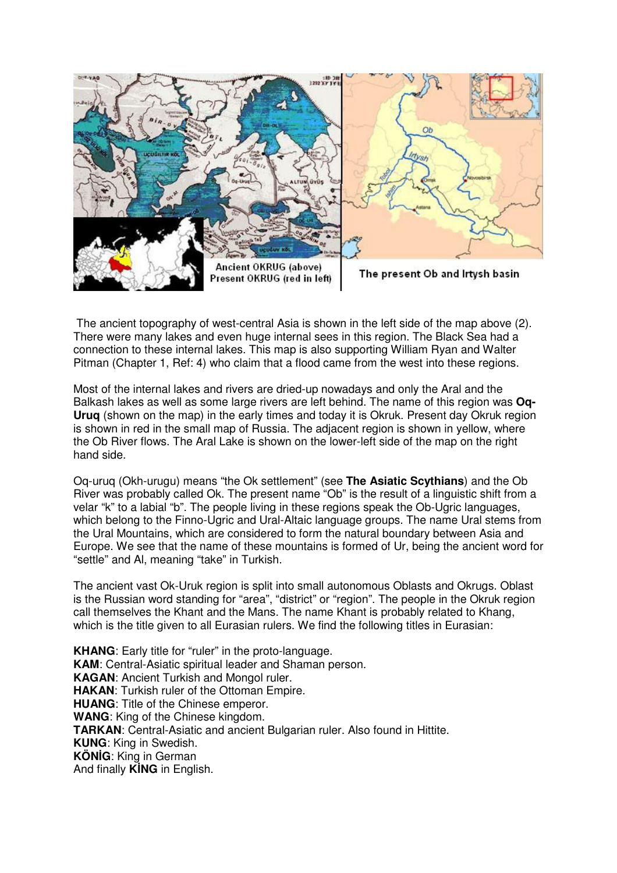

 The ancient topography of west-central Asia is shown in the left side of the map above (2). There were many lakes and even huge internal sees in this region. The Black Sea had a connection to these internal lakes. This map is also supporting William Ryan and Walter Pitman (Chapter 1, Ref: 4) who claim that a flood came from the west into these regions.

Most of the internal lakes and rivers are dried-up nowadays and only the Aral and the Balkash lakes as well as some large rivers are left behind. The name of this region was **Oq-Uruq** (shown on the map) in the early times and today it is Okruk. Present day Okruk region is shown in red in the small map of Russia. The adjacent region is shown in yellow, where the Ob River flows. The Aral Lake is shown on the lower-left side of the map on the right hand side.

Oq-uruq (Okh-urugu) means "the Ok settlement" (see **The Asiatic Scythians**) and the Ob River was probably called Ok. The present name "Ob" is the result of a linguistic shift from a velar "k" to a labial "b". The people living in these regions speak the Ob-Ugric languages, which belong to the Finno-Ugric and Ural-Altaic language groups. The name Ural stems from the Ural Mountains, which are considered to form the natural boundary between Asia and Europe. We see that the name of these mountains is formed of Ur, being the ancient word for "settle" and Al, meaning "take" in Turkish.

The ancient vast Ok-Uruk region is split into small autonomous Oblasts and Okrugs. Oblast is the Russian word standing for "area", "district" or "region". The people in the Okruk region call themselves the Khant and the Mans. The name Khant is probably related to Khang, which is the title given to all Eurasian rulers. We find the following titles in Eurasian:

**KHANG**: Early title for "ruler" in the proto-language. **KAM**: Central-Asiatic spiritual leader and Shaman person. **KAGAN**: Ancient Turkish and Mongol ruler. **HAKAN**: Turkish ruler of the Ottoman Empire. **HUANG**: Title of the Chinese emperor. **WANG**: King of the Chinese kingdom. **TARKAN**: Central-Asiatic and ancient Bulgarian ruler. Also found in Hittite. **KUNG**: King in Swedish. **KÖN**İ**G**: King in German And finally **K**İ**NG** in English.